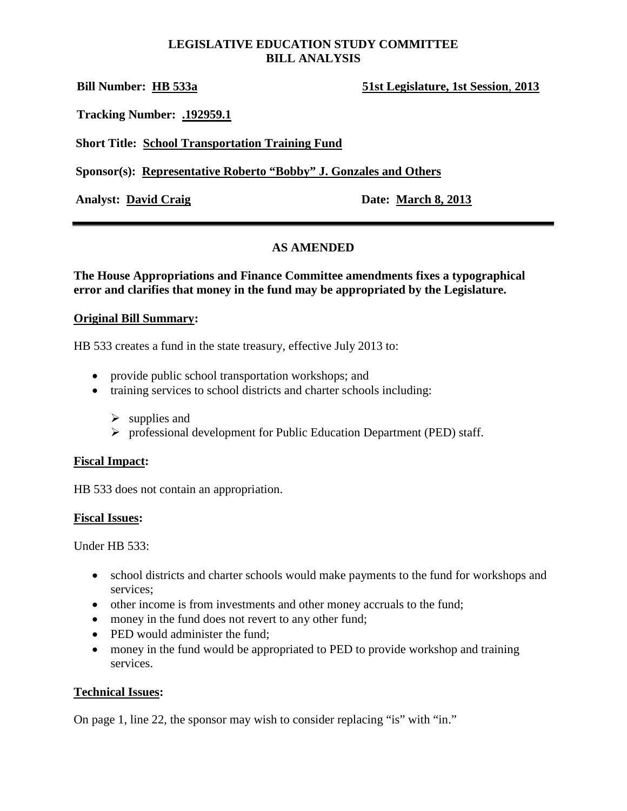### **LEGISLATIVE EDUCATION STUDY COMMITTEE BILL ANALYSIS**

**Bill Number: HB 533a 51st Legislature, 1st Session**, **2013**

**Tracking Number: .192959.1**

**Short Title: School Transportation Training Fund**

**Sponsor(s): Representative Roberto "Bobby" J. Gonzales and Others**

Analyst: David Craig **Date: March 8, 2013** 

# **AS AMENDED**

**The House Appropriations and Finance Committee amendments fixes a typographical error and clarifies that money in the fund may be appropriated by the Legislature.**

### **Original Bill Summary:**

HB 533 creates a fund in the state treasury, effective July 2013 to:

- provide public school transportation workshops; and
- training services to school districts and charter schools including:
	- $\triangleright$  supplies and
	- professional development for Public Education Department (PED) staff.

### **Fiscal Impact:**

HB 533 does not contain an appropriation.

### **Fiscal Issues:**

Under HB 533:

- school districts and charter schools would make payments to the fund for workshops and services;
- other income is from investments and other money accruals to the fund;
- money in the fund does not revert to any other fund;
- PED would administer the fund;
- money in the fund would be appropriated to PED to provide workshop and training services.

### **Technical Issues:**

On page 1, line 22, the sponsor may wish to consider replacing "is" with "in."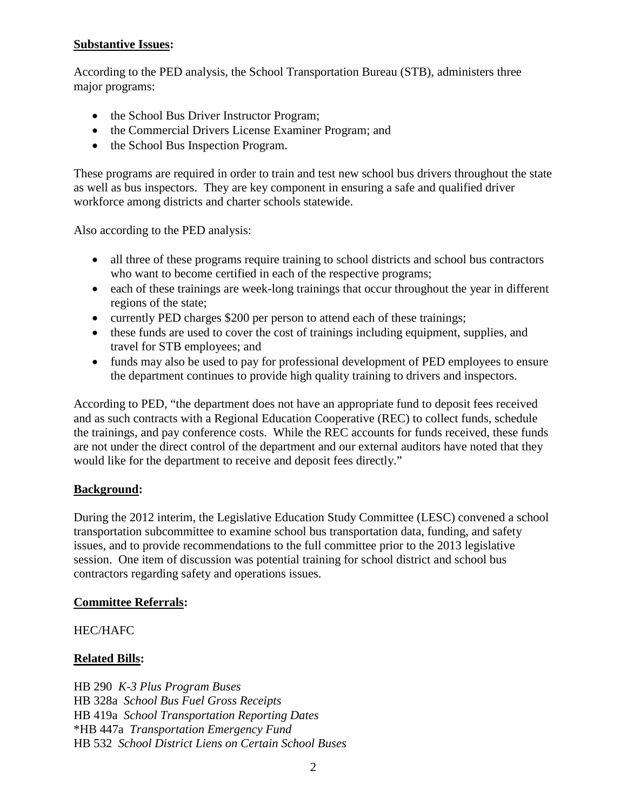### **Substantive Issues:**

According to the PED analysis, the School Transportation Bureau (STB), administers three major programs:

- the School Bus Driver Instructor Program;
- the Commercial Drivers License Examiner Program; and
- the School Bus Inspection Program.

These programs are required in order to train and test new school bus drivers throughout the state as well as bus inspectors. They are key component in ensuring a safe and qualified driver workforce among districts and charter schools statewide.

Also according to the PED analysis:

- all three of these programs require training to school districts and school bus contractors who want to become certified in each of the respective programs;
- each of these trainings are week-long trainings that occur throughout the year in different regions of the state;
- currently PED charges \$200 per person to attend each of these trainings;
- these funds are used to cover the cost of trainings including equipment, supplies, and travel for STB employees; and
- funds may also be used to pay for professional development of PED employees to ensure the department continues to provide high quality training to drivers and inspectors.

According to PED, "the department does not have an appropriate fund to deposit fees received and as such contracts with a Regional Education Cooperative (REC) to collect funds, schedule the trainings, and pay conference costs. While the REC accounts for funds received, these funds are not under the direct control of the department and our external auditors have noted that they would like for the department to receive and deposit fees directly."

# **Background:**

During the 2012 interim, the Legislative Education Study Committee (LESC) convened a school transportation subcommittee to examine school bus transportation data, funding, and safety issues, and to provide recommendations to the full committee prior to the 2013 legislative session. One item of discussion was potential training for school district and school bus contractors regarding safety and operations issues.

# **Committee Referrals:**

# HEC/HAFC

# **Related Bills:**

HB 290 *K-3 Plus Program Buses* HB 328a *School Bus Fuel Gross Receipts* HB 419a *School Transportation Reporting Dates* \*HB 447a *Transportation Emergency Fund* HB 532 *School District Liens on Certain School Buses*